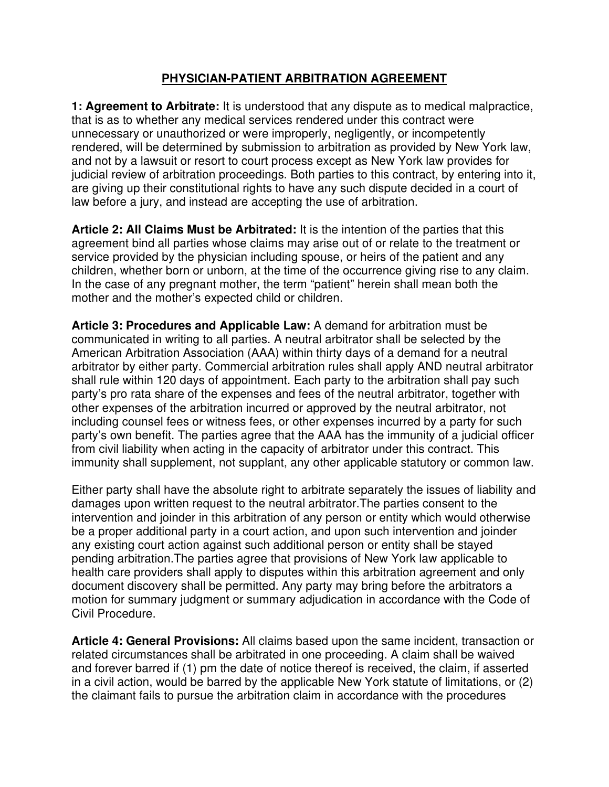## **PHYSICIAN-PATIENT ARBITRATION AGREEMENT**

**1: Agreement to Arbitrate:** It is understood that any dispute as to medical malpractice, that is as to whether any medical services rendered under this contract were unnecessary or unauthorized or were improperly, negligently, or incompetently rendered, will be determined by submission to arbitration as provided by New York law, and not by a lawsuit or resort to court process except as New York law provides for judicial review of arbitration proceedings. Both parties to this contract, by entering into it, are giving up their constitutional rights to have any such dispute decided in a court of law before a jury, and instead are accepting the use of arbitration.

**Article 2: All Claims Must be Arbitrated:** It is the intention of the parties that this agreement bind all parties whose claims may arise out of or relate to the treatment or service provided by the physician including spouse, or heirs of the patient and any children, whether born or unborn, at the time of the occurrence giving rise to any claim. In the case of any pregnant mother, the term "patient" herein shall mean both the mother and the mother's expected child or children.

**Article 3: Procedures and Applicable Law:** A demand for arbitration must be communicated in writing to all parties. A neutral arbitrator shall be selected by the American Arbitration Association (AAA) within thirty days of a demand for a neutral arbitrator by either party. Commercial arbitration rules shall apply AND neutral arbitrator shall rule within 120 days of appointment. Each party to the arbitration shall pay such party's pro rata share of the expenses and fees of the neutral arbitrator, together with other expenses of the arbitration incurred or approved by the neutral arbitrator, not including counsel fees or witness fees, or other expenses incurred by a party for such party's own benefit. The parties agree that the AAA has the immunity of a judicial officer from civil liability when acting in the capacity of arbitrator under this contract. This immunity shall supplement, not supplant, any other applicable statutory or common law.

Either party shall have the absolute right to arbitrate separately the issues of liability and damages upon written request to the neutral arbitrator.The parties consent to the intervention and joinder in this arbitration of any person or entity which would otherwise be a proper additional party in a court action, and upon such intervention and joinder any existing court action against such additional person or entity shall be stayed pending arbitration.The parties agree that provisions of New York law applicable to health care providers shall apply to disputes within this arbitration agreement and only document discovery shall be permitted. Any party may bring before the arbitrators a motion for summary judgment or summary adjudication in accordance with the Code of Civil Procedure.

**Article 4: General Provisions:** All claims based upon the same incident, transaction or related circumstances shall be arbitrated in one proceeding. A claim shall be waived and forever barred if (1) pm the date of notice thereof is received, the claim, if asserted in a civil action, would be barred by the applicable New York statute of limitations, or (2) the claimant fails to pursue the arbitration claim in accordance with the procedures